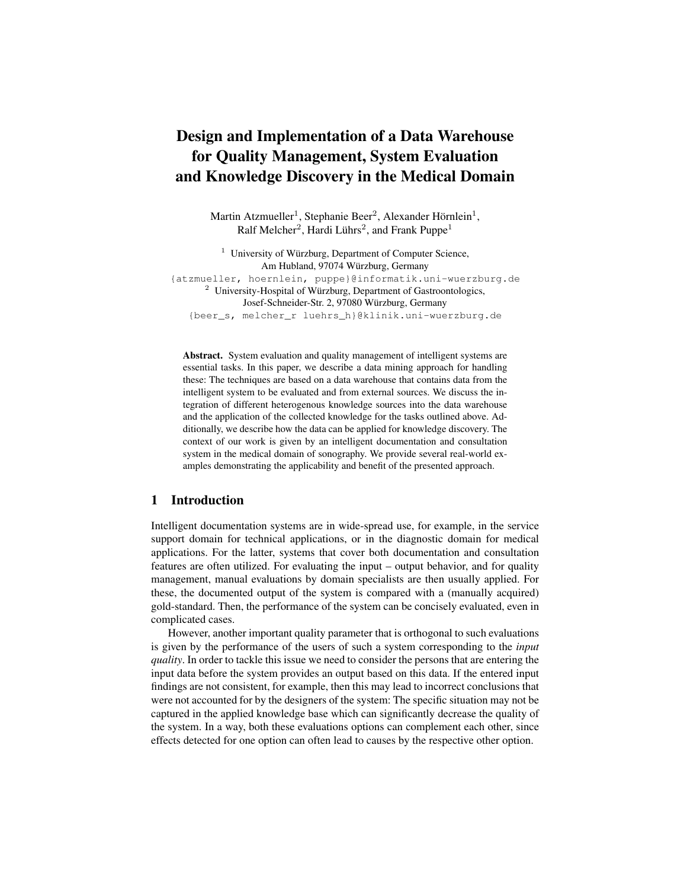# Design and Implementation of a Data Warehouse for Quality Management, System Evaluation and Knowledge Discovery in the Medical Domain

Martin Atzmueller<sup>1</sup>, Stephanie Beer<sup>2</sup>, Alexander Hörnlein<sup>1</sup>, Ralf Melcher<sup>2</sup>, Hardi Lührs<sup>2</sup>, and Frank Puppe<sup>1</sup>

<sup>1</sup> University of Würzburg, Department of Computer Science, Am Hubland, 97074 Würzburg, Germany {atzmueller, hoernlein, puppe}@informatik.uni-wuerzburg.de <sup>2</sup> University-Hospital of Würzburg, Department of Gastroontologics, Josef-Schneider-Str. 2, 97080 Würzburg, Germany {beer\_s, melcher\_r luehrs\_h}@klinik.uni-wuerzburg.de

Abstract. System evaluation and quality management of intelligent systems are essential tasks. In this paper, we describe a data mining approach for handling these: The techniques are based on a data warehouse that contains data from the intelligent system to be evaluated and from external sources. We discuss the integration of different heterogenous knowledge sources into the data warehouse and the application of the collected knowledge for the tasks outlined above. Additionally, we describe how the data can be applied for knowledge discovery. The context of our work is given by an intelligent documentation and consultation system in the medical domain of sonography. We provide several real-world examples demonstrating the applicability and benefit of the presented approach.

# 1 Introduction

Intelligent documentation systems are in wide-spread use, for example, in the service support domain for technical applications, or in the diagnostic domain for medical applications. For the latter, systems that cover both documentation and consultation features are often utilized. For evaluating the input – output behavior, and for quality management, manual evaluations by domain specialists are then usually applied. For these, the documented output of the system is compared with a (manually acquired) gold-standard. Then, the performance of the system can be concisely evaluated, even in complicated cases.

However, another important quality parameter that is orthogonal to such evaluations is given by the performance of the users of such a system corresponding to the *input quality*. In order to tackle this issue we need to consider the persons that are entering the input data before the system provides an output based on this data. If the entered input findings are not consistent, for example, then this may lead to incorrect conclusions that were not accounted for by the designers of the system: The specific situation may not be captured in the applied knowledge base which can significantly decrease the quality of the system. In a way, both these evaluations options can complement each other, since effects detected for one option can often lead to causes by the respective other option.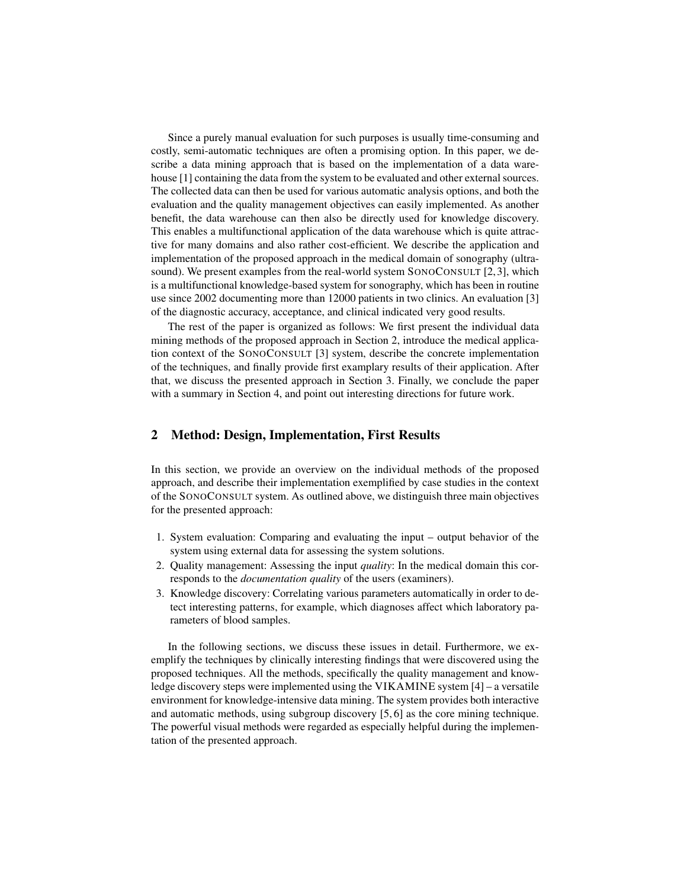Since a purely manual evaluation for such purposes is usually time-consuming and costly, semi-automatic techniques are often a promising option. In this paper, we describe a data mining approach that is based on the implementation of a data warehouse [1] containing the data from the system to be evaluated and other external sources. The collected data can then be used for various automatic analysis options, and both the evaluation and the quality management objectives can easily implemented. As another benefit, the data warehouse can then also be directly used for knowledge discovery. This enables a multifunctional application of the data warehouse which is quite attractive for many domains and also rather cost-efficient. We describe the application and implementation of the proposed approach in the medical domain of sonography (ultrasound). We present examples from the real-world system SONOCONSULT [2, 3], which is a multifunctional knowledge-based system for sonography, which has been in routine use since 2002 documenting more than 12000 patients in two clinics. An evaluation [3] of the diagnostic accuracy, acceptance, and clinical indicated very good results.

The rest of the paper is organized as follows: We first present the individual data mining methods of the proposed approach in Section 2, introduce the medical application context of the SONOCONSULT [3] system, describe the concrete implementation of the techniques, and finally provide first examplary results of their application. After that, we discuss the presented approach in Section 3. Finally, we conclude the paper with a summary in Section 4, and point out interesting directions for future work.

# 2 Method: Design, Implementation, First Results

In this section, we provide an overview on the individual methods of the proposed approach, and describe their implementation exemplified by case studies in the context of the SONOCONSULT system. As outlined above, we distinguish three main objectives for the presented approach:

- 1. System evaluation: Comparing and evaluating the input output behavior of the system using external data for assessing the system solutions.
- 2. Quality management: Assessing the input *quality*: In the medical domain this corresponds to the *documentation quality* of the users (examiners).
- 3. Knowledge discovery: Correlating various parameters automatically in order to detect interesting patterns, for example, which diagnoses affect which laboratory parameters of blood samples.

In the following sections, we discuss these issues in detail. Furthermore, we exemplify the techniques by clinically interesting findings that were discovered using the proposed techniques. All the methods, specifically the quality management and knowledge discovery steps were implemented using the VIKAMINE system [4] – a versatile environment for knowledge-intensive data mining. The system provides both interactive and automatic methods, using subgroup discovery [5, 6] as the core mining technique. The powerful visual methods were regarded as especially helpful during the implementation of the presented approach.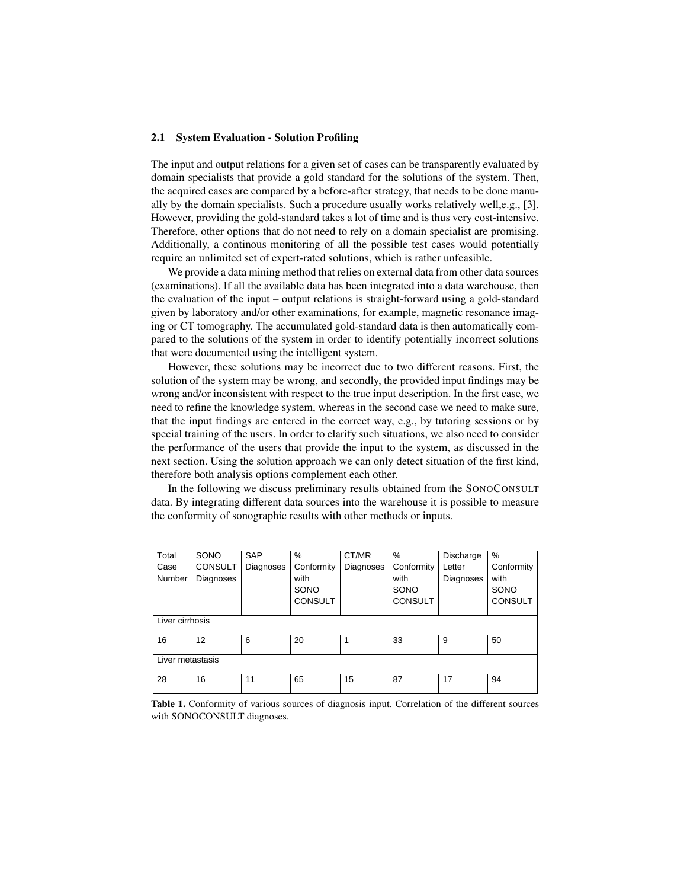### 2.1 System Evaluation - Solution Profiling

The input and output relations for a given set of cases can be transparently evaluated by domain specialists that provide a gold standard for the solutions of the system. Then, the acquired cases are compared by a before-after strategy, that needs to be done manually by the domain specialists. Such a procedure usually works relatively well,e.g., [3]. However, providing the gold-standard takes a lot of time and is thus very cost-intensive. Therefore, other options that do not need to rely on a domain specialist are promising. Additionally, a continous monitoring of all the possible test cases would potentially require an unlimited set of expert-rated solutions, which is rather unfeasible.

We provide a data mining method that relies on external data from other data sources (examinations). If all the available data has been integrated into a data warehouse, then the evaluation of the input – output relations is straight-forward using a gold-standard given by laboratory and/or other examinations, for example, magnetic resonance imaging or CT tomography. The accumulated gold-standard data is then automatically compared to the solutions of the system in order to identify potentially incorrect solutions that were documented using the intelligent system.

However, these solutions may be incorrect due to two different reasons. First, the solution of the system may be wrong, and secondly, the provided input findings may be wrong and/or inconsistent with respect to the true input description. In the first case, we need to refine the knowledge system, whereas in the second case we need to make sure, that the input findings are entered in the correct way, e.g., by tutoring sessions or by special training of the users. In order to clarify such situations, we also need to consider the performance of the users that provide the input to the system, as discussed in the next section. Using the solution approach we can only detect situation of the first kind, therefore both analysis options complement each other.

In the following we discuss preliminary results obtained from the SONOCONSULT data. By integrating different data sources into the warehouse it is possible to measure the conformity of sonographic results with other methods or inputs.

| Total            | SONO           | <b>SAP</b> | %              | CT/MR     | %              | Discharge | %              |  |  |
|------------------|----------------|------------|----------------|-----------|----------------|-----------|----------------|--|--|
| Case             | <b>CONSULT</b> | Diagnoses  | Conformity     | Diagnoses | Conformity     | Letter    | Conformity     |  |  |
| Number           | Diagnoses      |            | with           |           | with           | Diagnoses | with           |  |  |
|                  |                |            | SONO           |           | SONO           |           | SONO           |  |  |
|                  |                |            | <b>CONSULT</b> |           | <b>CONSULT</b> |           | <b>CONSULT</b> |  |  |
|                  |                |            |                |           |                |           |                |  |  |
| Liver cirrhosis  |                |            |                |           |                |           |                |  |  |
| 16               | 12             | 6          | 20             | 1         | 33             | 9         | 50             |  |  |
|                  |                |            |                |           |                |           |                |  |  |
| Liver metastasis |                |            |                |           |                |           |                |  |  |
|                  |                |            |                |           |                |           |                |  |  |
| 28               | 16             | 11         | 65             | 15        | 87             | 17        | 94             |  |  |
|                  |                |            |                |           |                |           |                |  |  |

Table 1. Conformity of various sources of diagnosis input. Correlation of the different sources with SONOCONSULT diagnoses.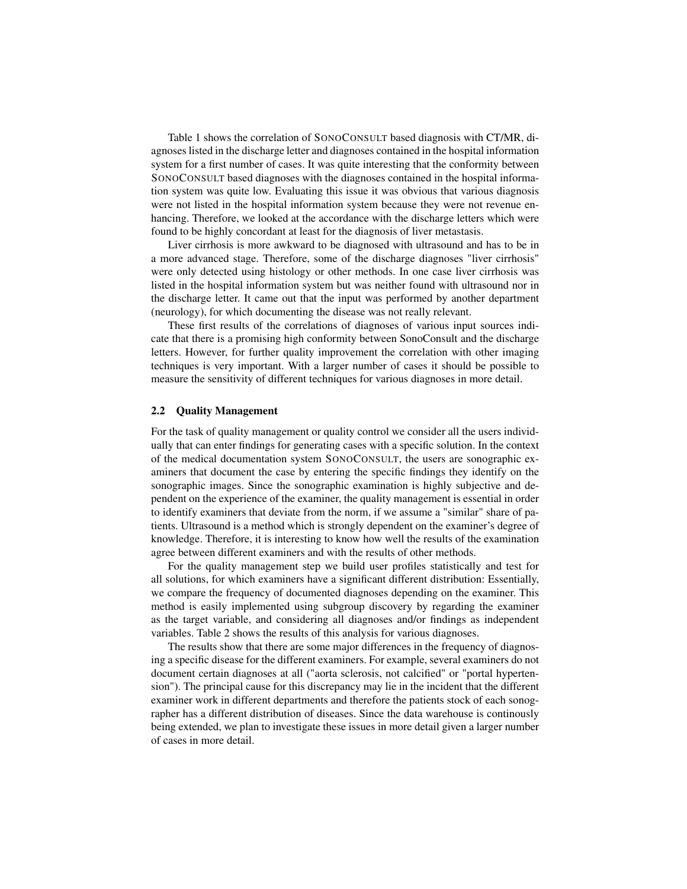Table 1 shows the correlation of SONOCONSULT based diagnosis with CT/MR, diagnoses listed in the discharge letter and diagnoses contained in the hospital information system for a first number of cases. It was quite interesting that the conformity between SONOCONSULT based diagnoses with the diagnoses contained in the hospital information system was quite low. Evaluating this issue it was obvious that various diagnosis were not listed in the hospital information system because they were not revenue enhancing. Therefore, we looked at the accordance with the discharge letters which were found to be highly concordant at least for the diagnosis of liver metastasis.

Liver cirrhosis is more awkward to be diagnosed with ultrasound and has to be in a more advanced stage. Therefore, some of the discharge diagnoses "liver cirrhosis" were only detected using histology or other methods. In one case liver cirrhosis was listed in the hospital information system but was neither found with ultrasound nor in the discharge letter. It came out that the input was performed by another department (neurology), for which documenting the disease was not really relevant.

These first results of the correlations of diagnoses of various input sources indicate that there is a promising high conformity between SonoConsult and the discharge letters. However, for further quality improvement the correlation with other imaging techniques is very important. With a larger number of cases it should be possible to measure the sensitivity of different techniques for various diagnoses in more detail.

### 2.2 Quality Management

For the task of quality management or quality control we consider all the users individually that can enter findings for generating cases with a specific solution. In the context of the medical documentation system SONOCONSULT, the users are sonographic examiners that document the case by entering the specific findings they identify on the sonographic images. Since the sonographic examination is highly subjective and dependent on the experience of the examiner, the quality management is essential in order to identify examiners that deviate from the norm, if we assume a "similar" share of patients. Ultrasound is a method which is strongly dependent on the examiner's degree of knowledge. Therefore, it is interesting to know how well the results of the examination agree between different examiners and with the results of other methods.

For the quality management step we build user profiles statistically and test for all solutions, for which examiners have a significant different distribution: Essentially, we compare the frequency of documented diagnoses depending on the examiner. This method is easily implemented using subgroup discovery by regarding the examiner as the target variable, and considering all diagnoses and/or findings as independent variables. Table 2 shows the results of this analysis for various diagnoses.

The results show that there are some major differences in the frequency of diagnosing a specific disease for the different examiners. For example, several examiners do not document certain diagnoses at all ("aorta sclerosis, not calcified" or "portal hypertension"). The principal cause for this discrepancy may lie in the incident that the different examiner work in different departments and therefore the patients stock of each sonographer has a different distribution of diseases. Since the data warehouse is continously being extended, we plan to investigate these issues in more detail given a larger number of cases in more detail.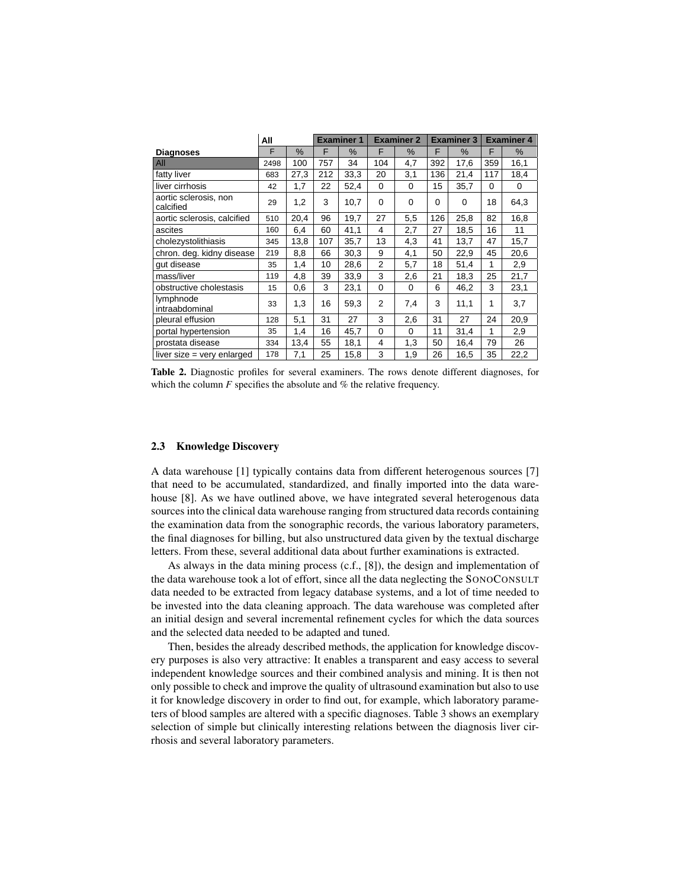|                                    | All  |               | <b>Examiner 1</b> |      | <b>Examiner 2</b> |      | <b>Examiner 3</b> |          | <b>Examiner 4</b> |      |
|------------------------------------|------|---------------|-------------------|------|-------------------|------|-------------------|----------|-------------------|------|
| <b>Diagnoses</b>                   | F    | $\frac{0}{0}$ | F                 | $\%$ | F                 | $\%$ | F                 | %        | F                 | %    |
| AII                                | 2498 | 100           | 757               | 34   | 104               | 4,7  | 392               | 17,6     | 359               | 16,1 |
| fatty liver                        | 683  | 27,3          | 212               | 33,3 | 20                | 3,1  | 136               | 21,4     | 117               | 18,4 |
| liver cirrhosis                    | 42   | 1,7           | 22                | 52,4 | $\mathbf 0$       | 0    | 15                | 35,7     | 0                 | 0    |
| aortic sclerosis, non<br>calcified | 29   | 1,2           | 3                 | 10,7 | $\Omega$          | 0    | $\Omega$          | $\Omega$ | 18                | 64,3 |
| aortic sclerosis, calcified        | 510  | 20,4          | 96                | 19,7 | 27                | 5,5  | 126               | 25,8     | 82                | 16,8 |
| ascites                            | 160  | 6,4           | 60                | 41,1 | 4                 | 2,7  | 27                | 18,5     | 16                | 11   |
| cholezystolithiasis                | 345  | 13,8          | 107               | 35,7 | 13                | 4,3  | 41                | 13,7     | 47                | 15,7 |
| chron. deg. kidny disease          | 219  | 8,8           | 66                | 30,3 | 9                 | 4,1  | 50                | 22,9     | 45                | 20,6 |
| qut disease                        | 35   | 1,4           | 10                | 28,6 | 2                 | 5,7  | 18                | 51,4     | 1                 | 2,9  |
| mass/liver                         | 119  | 4,8           | 39                | 33,9 | 3                 | 2,6  | 21                | 18,3     | 25                | 21,7 |
| obstructive cholestasis            | 15   | 0,6           | 3                 | 23,1 | $\mathbf 0$       | 0    | 6                 | 46,2     | 3                 | 23,1 |
| lymphnode<br>intraabdominal        | 33   | 1,3           | 16                | 59,3 | 2                 | 7,4  | 3                 | 11,1     | 1                 | 3,7  |
| pleural effusion                   | 128  | 5,1           | 31                | 27   | 3                 | 2,6  | 31                | 27       | 24                | 20,9 |
| portal hypertension                | 35   | 1,4           | 16                | 45,7 | $\mathbf 0$       | 0    | 11                | 31,4     | 1                 | 2,9  |
| prostata disease                   | 334  | 13,4          | 55                | 18,1 | $\overline{4}$    | 1,3  | 50                | 16,4     | 79                | 26   |
| liver size $=$ very enlarged       | 178  | 7,1           | 25                | 15,8 | 3                 | 1,9  | 26                | 16,5     | 35                | 22,2 |

which the column  $F$  specifies the absolute and  $%$  the relative frequency. Table 2. Diagnostic profiles for several examiners. The rows denote different diagnoses, for

#### $\mathbf{r}$  the patients stock of each sonographer has different disease. To clarify different disease. To clarify distribution of  $\mathbf{r}$ this statement anonymizing the examiner is necessary which brings along some 2.3 Knowledge Discovery

A data warehouse [1] typically contains data from different heterogenous sources [7] sources into the clinical data warehouse ranging from structured data records containing the examination data from the sonographic records, the various laboratory parameters, letters. From these, several additional data about further examinations is extracted. that need to be accumulated, standardized, and finally imported into the data warehouse [8]. As we have outlined above, we have integrated several heterogenous data the final diagnoses for billing, but also unstructured data given by the textual discharge

the data warehouse took a lot of effort, since all the data neglecting the SONOCONSULT be invested into the data cleaning approach. The data warehouse was completed after and the selected data needed to be adapted and tuned. As always in the data mining process (c.f., [8]), the design and implementation of data needed to be extracted from legacy database systems, and a lot of time needed to an initial design and several incremental refinement cycles for which the data sources

Then, besides the already described methods, the application for knowledge discovery purposes is also very attractive: It enables a transparent and easy access to several independent knowledge sources and their combined analysis and mining. It is then not only possible to check and improve the quality of ultrasound examination but also to use it for knowledge discovery in order to find out, for example, which laboratory parameters of blood samples are altered with a specific diagnoses. Table 3 shows an exemplary selection of simple but clinically interesting relations between the diagnosis liver cirrhosis and several laboratory parameters.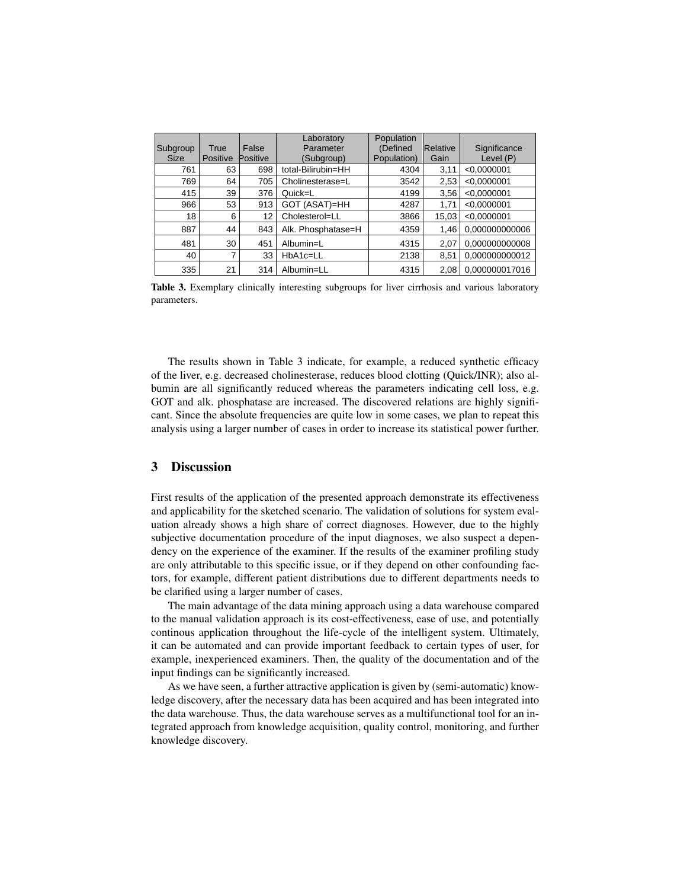| Subgroup<br><b>Size</b> | True<br>Positive | False<br>Positive | Laboratory<br>Parameter<br>(Subgroup) | Population<br>(Defined<br>Population) | Relative<br>Gain | Significance<br>Level (P) |
|-------------------------|------------------|-------------------|---------------------------------------|---------------------------------------|------------------|---------------------------|
| 761                     | 63               | 698               | total-Bilirubin=HH                    | 4304                                  | 3,11             | < 0.0000001               |
| 769                     | 64               | 705               | Cholinesterase=L                      | 3542                                  | 2,53             | < 0.0000001               |
| 415                     | 39               | 376               | Quick=L                               | 4199                                  | 3.56             | < 0.0000001               |
| 966                     | 53               | 913               | GOT (ASAT)=HH                         | 4287                                  | 1.71             | < 0.0000001               |
| 18                      | 6                | 12                | Cholesterol=LL                        | 3866                                  | 15.03            | < 0.0000001               |
| 887                     | 44               | 843               | Alk. Phosphatase=H                    | 4359                                  | 1.46             | 0.000000000006            |
| 481                     | 30               | 451               | Albumin=L                             | 4315                                  | 2.07             | 0,000000000008            |
| 40                      | ⇁                | 33                | $HbA1c=LL$                            | 2138                                  | 8.51             | 0,000000000012            |
| 335                     | 21               | 314               | Albumin=LL                            | 4315                                  | 2.08             | 0.000000017016            |

 $\blacksquare$ Table 3. Exemplary clinically interesting subgroups for liver cirrhosis and various laboratory parameters.

The results shown in Table 3 indicate, for example, a reduced synthetic efficacy bumin are all significantly reduced whereas the parameters indicating cell loss, e.g. Figure 2.1 Since the absolute frequencies are quite low in some cases, we plan to repeat this of the liver, e.g. decreased cholinesterase, reduces blood clotting (Quick/INR); also al-GOT and alk. phosphatase are increased. The discovered relations are highly signifianalysis using a larger number of cases in order to increase its statistical power further.

### **Conclusion + References**  3 Discussion

and applicability for the sketched scenario. The validation of solutions for system evaluation already shows a high share of correct diagnoses. However, due to the highly subjective documentation procedure of the input diagnoses, we also suspect a dependency on the experience of the examiner. If the results of the examiner profiling study are only attributable to this specific issue, or if they depend on other confounding factors, for example, different patient distributions due to different departments needs to First results of the application of the presented approach demonstrate its effectiveness be clarified using a larger number of cases.

Aranned using a larger hanneer or eases.<br>The main advantage of the data mining approach using a data warehouse compared Internation transfer and manual validation approach is its cost-effectiveness, ease of use, and potentially to the manual vandation approach is its cost criceaveness, ease of ase, and potentially continous application throughout the life-cycle of the intelligent system. Ultimately, eshander approach an original the me system of the intempent system. Standardy, it can be automated and can provide important feedback to certain types of user, for example, inexperienced examiners. Then, the quality of the documentation and of the b. B. Champion Communication Champion Champion Champion Champion Champion Champion Champion Champion Champion Champion Champion Champion Champion Champion Champion Champion Champion Champion Champion Champion Champion Cham

As we have seen, a further attractive application is given by (semi-automatic) knowledge discovery, after the necessary data has been acquired and has been integrated into the data warehouse. Thus, the data warehouse serves as a multifunctional tool for an integrated approach from knowledge acquisition, quality control, monitoring, and further knowledge discovery.